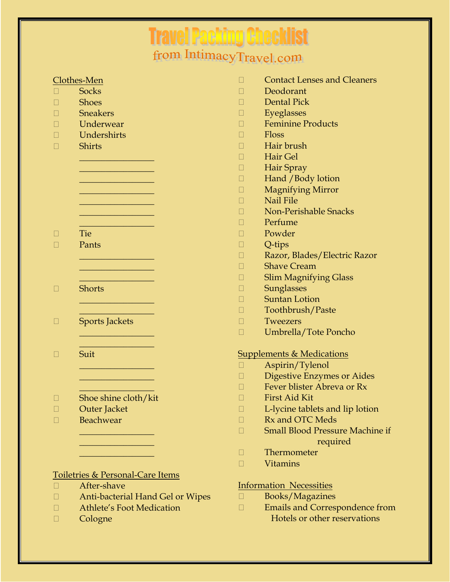## **Travel Packing Checklist**<br>from IntimacyTravel.com

| Clothes-Men                                 | <b>Contact Lenses and Cleaners</b>     |
|---------------------------------------------|----------------------------------------|
| <b>Socks</b>                                | Deodorant                              |
| <b>Shoes</b>                                | <b>Dental Pick</b>                     |
| <b>Sneakers</b>                             | Eyeglasses                             |
| Underwear                                   | <b>Feminine Products</b>               |
| Undershirts                                 | <b>Floss</b>                           |
| <b>Shirts</b>                               | Hair brush                             |
|                                             | Hair Gel                               |
|                                             | Hair Spray                             |
|                                             | Hand / Body lotion                     |
|                                             | <b>Magnifying Mirror</b>               |
|                                             | Nail File                              |
|                                             | <b>Non-Perishable Snacks</b>           |
|                                             | Perfume                                |
| <b>Tie</b>                                  | Powder                                 |
| Pants                                       | Q-tips                                 |
|                                             | Razor, Blades/Electric Razor           |
|                                             | <b>Shave Cream</b>                     |
|                                             | <b>Slim Magnifying Glass</b>           |
| <b>Shorts</b>                               | <b>Sunglasses</b>                      |
|                                             | <b>Suntan Lotion</b>                   |
|                                             | Toothbrush/Paste                       |
| <b>Sports Jackets</b>                       | Tweezers                               |
|                                             | Umbrella/Tote Poncho                   |
| Suit                                        | <b>Supplements &amp; Medications</b>   |
|                                             | Aspirin/Tylenol                        |
|                                             | <b>Digestive Enzymes or Aides</b>      |
|                                             | Fever blister Abreva or Rx             |
| Shoe shine cloth/kit                        | First Aid Kit                          |
| Outer Jacket                                | L-lycine tablets and lip lotion        |
| Beachwear                                   | Rx and OTC Meds                        |
|                                             | <b>Small Blood Pressure Machine if</b> |
|                                             | required                               |
|                                             | Thermometer                            |
|                                             | <b>Vitamins</b>                        |
| <b>Toiletries &amp; Personal-Care Items</b> |                                        |
| After-shave                                 | <b>Information Necessities</b>         |
| Anti-bacterial Hand Gel or Wipes            | Books/Magazines                        |

 Athlete's Foot Medication

 Cologne

 Books/Magazines  Emails and Correspondence from Hotels or other reservations